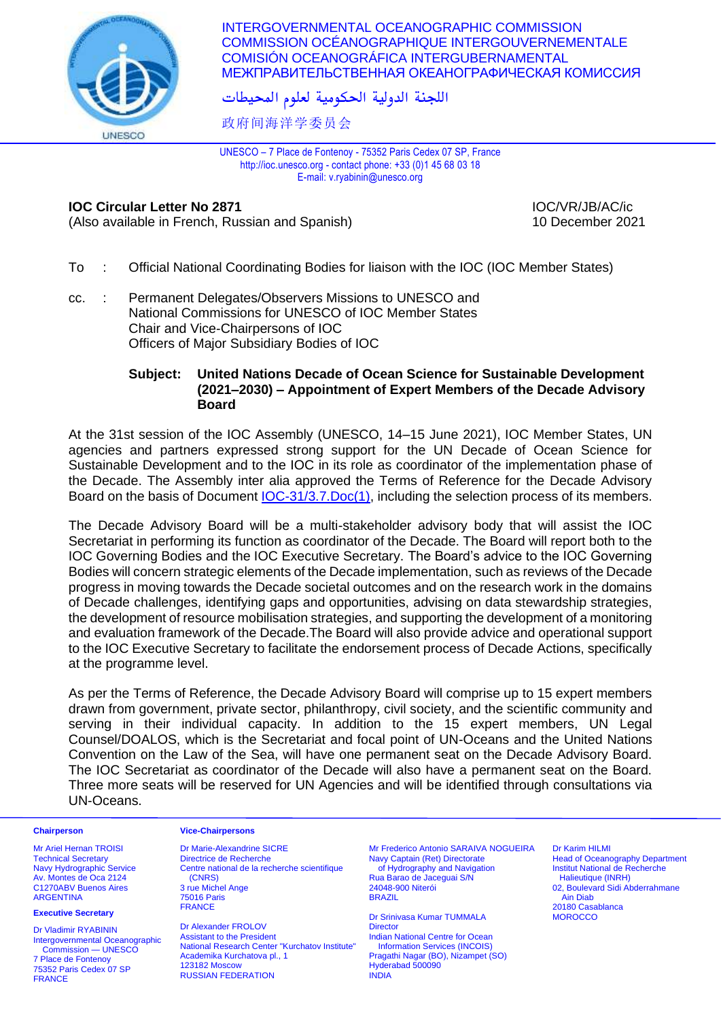

INTERGOVERNMENTAL OCEANOGRAPHIC COMMISSION COMMISSION OCÉANOGRAPHIQUE INTERGOUVERNEMENTALE COMISIÓN OCEANOGRÁFICA INTERGUBERNAMENTAL МЕЖПРАВИТЕЛЬСТВЕННАЯ ОКЕАНОГРАФИЧЕСКАЯ КОМИССИЯ

اللجنة الدولية الحكومية لعلوم المحيطات

政府间海洋学委员会

UNESCO – 7 Place de Fontenoy - 75352 Paris Cedex 07 SP, France http://ioc.unesco.org - contact phone: +33 (0)1 45 68 03 18 E-mail: v.ryabinin@unesco.org

# **IOC Circular Letter No 2871** IOC/VR/JB/AC/ic

(Also available in French, Russian and Spanish) 10 December 2021

- To : Official National Coordinating Bodies for liaison with the IOC (IOC Member States)
- cc. : Permanent Delegates/Observers Missions to UNESCO and National Commissions for UNESCO of IOC Member States Chair and Vice-Chairpersons of IOC Officers of Major Subsidiary Bodies of IOC

## **Subject: United Nations Decade of Ocean Science for Sustainable Development (2021–2030) – Appointment of Expert Members of the Decade Advisory Board**

At the 31st session of the IOC Assembly (UNESCO, 14–15 June 2021), IOC Member States, UN agencies and partners expressed strong support for the UN Decade of Ocean Science for Sustainable Development and to the IOC in its role as coordinator of the implementation phase of the Decade. The Assembly inter alia approved the Terms of Reference for the Decade Advisory Board on the basis of Document **IOC-31/3.7.Doc(1)**, including the selection process of its members.

The Decade Advisory Board will be a multi-stakeholder advisory body that will assist the IOC Secretariat in performing its function as coordinator of the Decade. The Board will report both to the IOC Governing Bodies and the IOC Executive Secretary. The Board's advice to the IOC Governing Bodies will concern strategic elements of the Decade implementation, such as reviews of the Decade progress in moving towards the Decade societal outcomes and on the research work in the domains of Decade challenges, identifying gaps and opportunities, advising on data stewardship strategies, the development of resource mobilisation strategies, and supporting the development of a monitoring and evaluation framework of the Decade.The Board will also provide advice and operational support to the IOC Executive Secretary to facilitate the endorsement process of Decade Actions, specifically at the programme level.

As per the Terms of Reference, the Decade Advisory Board will comprise up to 15 expert members drawn from government, private sector, philanthropy, civil society, and the scientific community and serving in their individual capacity. In addition to the 15 expert members, UN Legal Counsel/DOALOS, which is the Secretariat and focal point of UN-Oceans and the United Nations Convention on the Law of the Sea, will have one permanent seat on the Decade Advisory Board. The IOC Secretariat as coordinator of the Decade will also have a permanent seat on the Board. Three more seats will be reserved for UN Agencies and will be identified through consultations via UN-Oceans.

### **Chairperson Vice-Chairpersons**

Mr Ariel Hernan TROISI Technical Secretary Navy Hydrographic Service Av. Montes de Oca 2124 C1270ABV Buenos Aires ARGENTINA

### **Executive Secretary**

Dr Vladimir RYABININ Intergovernmental Oceanographic Commission — UNESCO 7 Place de Fontenoy 75352 Paris Cedex 07 SP FRANCE

Dr Marie-Alexandrine SICRE Directrice de Recherche Centre national de la recherche scientifique (CNRS) 3 rue Michel Ange 75016 Paris FRANCE

Dr Alexander FROLOV Assistant to the President National Research Center "Kurchatov Institute" Academika Kurchatova pl., 1 123182 Moscow RUSSIAN FEDERATION

Mr Frederico Antonio SARAIVA NOGUEIRA Navy Captain (Ret) Directorate of Hydrography and Navigation Rua Barao de Jaceguai S/N 24048-900 Niterói BRAZIL

Dr Srinivasa Kumar TUMMALA **Director** Indian National Centre for Ocean Information Services (INCOIS) Pragathi Nagar (BO), Nizampet (SO) Hyderabad 500090 INDIA

Dr Karim HILMI Head of Oceanography Department Institut National de Recherche Halieutique (INRH) 02, Boulevard Sidi Abderrahmane Ain Diab 20180 Casablanca **MOROCCO**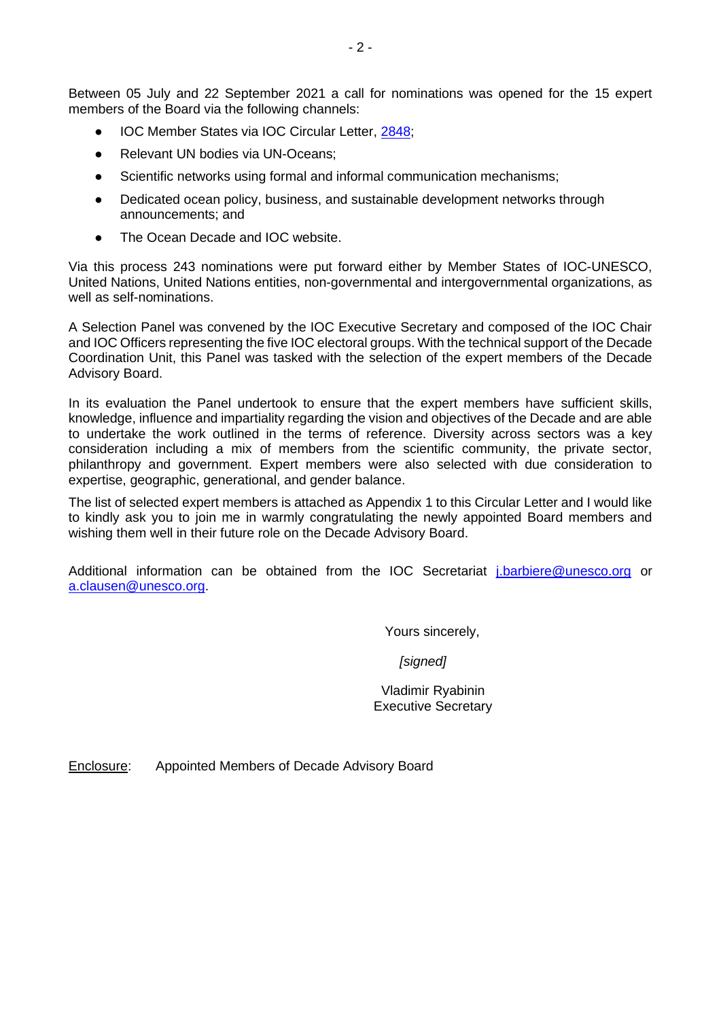Between 05 July and 22 September 2021 a call for nominations was opened for the 15 expert members of the Board via the following channels:

- IOC Member States via IOC Circular Letter, [2848;](https://oceanexpert.org/document/28656)
- Relevant UN bodies via UN-Oceans:
- Scientific networks using formal and informal communication mechanisms;
- Dedicated ocean policy, business, and sustainable development networks through announcements; and
- The Ocean Decade and IOC website.

Via this process 243 nominations were put forward either by Member States of IOC-UNESCO, United Nations, United Nations entities, non-governmental and intergovernmental organizations, as well as self-nominations.

A Selection Panel was convened by the IOC Executive Secretary and composed of the IOC Chair and IOC Officers representing the five IOC electoral groups. With the technical support of the Decade Coordination Unit, this Panel was tasked with the selection of the expert members of the Decade Advisory Board.

In its evaluation the Panel undertook to ensure that the expert members have sufficient skills, knowledge, influence and impartiality regarding the vision and objectives of the Decade and are able to undertake the work outlined in the terms of reference. Diversity across sectors was a key consideration including a mix of members from the scientific community, the private sector, philanthropy and government. Expert members were also selected with due consideration to expertise, geographic, generational, and gender balance.

The list of selected expert members is attached as Appendix 1 to this Circular Letter and I would like to kindly ask you to join me in warmly congratulating the newly appointed Board members and wishing them well in their future role on the Decade Advisory Board.

Additional information can be obtained from the IOC Secretariat [j.barbiere@unesco.org](mailto:j.barbiere@unesco.org) or [a.clausen@unesco.org.](mailto:a.clausen@unesco.org)

Yours sincerely,

*[signed]*

 Vladimir Ryabinin Executive Secretary

Enclosure: Appointed Members of Decade Advisory Board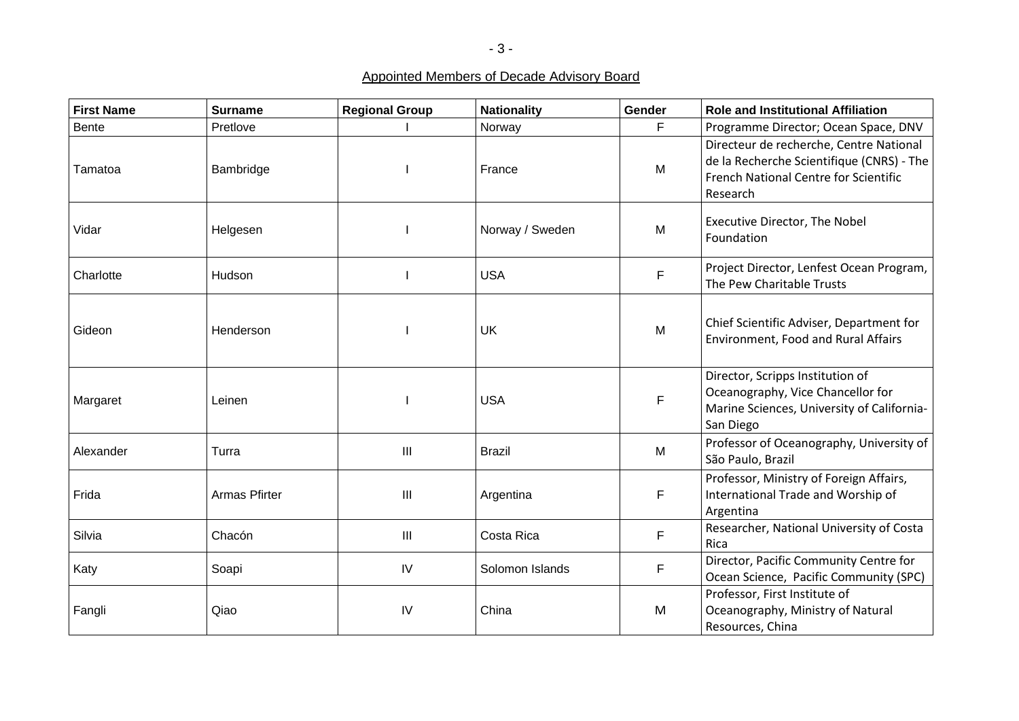Appointed Members of Decade Advisory Board

| <b>First Name</b> | <b>Surname</b> | <b>Regional Group</b>              | <b>Nationality</b> | Gender      | <b>Role and Institutional Affiliation</b>                                                                                                 |
|-------------------|----------------|------------------------------------|--------------------|-------------|-------------------------------------------------------------------------------------------------------------------------------------------|
| <b>Bente</b>      | Pretlove       |                                    | Norway             | F           | Programme Director; Ocean Space, DNV                                                                                                      |
| Tamatoa           | Bambridge      |                                    | France             | M           | Directeur de recherche, Centre National<br>de la Recherche Scientifique (CNRS) - The<br>French National Centre for Scientific<br>Research |
| Vidar             | Helgesen       |                                    | Norway / Sweden    | M           | Executive Director, The Nobel<br>Foundation                                                                                               |
| Charlotte         | Hudson         |                                    | <b>USA</b>         | F           | Project Director, Lenfest Ocean Program,<br>The Pew Charitable Trusts                                                                     |
| Gideon            | Henderson      |                                    | UK                 | M           | Chief Scientific Adviser, Department for<br><b>Environment, Food and Rural Affairs</b>                                                    |
| Margaret          | Leinen         |                                    | <b>USA</b>         | $\mathsf F$ | Director, Scripps Institution of<br>Oceanography, Vice Chancellor for<br>Marine Sciences, University of California-<br>San Diego          |
| Alexander         | Turra          | III                                | <b>Brazil</b>      | M           | Professor of Oceanography, University of<br>São Paulo, Brazil                                                                             |
| Frida             | Armas Pfirter  | $\mathbf{III}$                     | Argentina          | F           | Professor, Ministry of Foreign Affairs,<br>International Trade and Worship of<br>Argentina                                                |
| Silvia            | Chacón         | $\ensuremath{\mathsf{III}}\xspace$ | Costa Rica         | $\mathsf F$ | Researcher, National University of Costa<br>Rica                                                                                          |
| Katy              | Soapi          | IV                                 | Solomon Islands    | $\mathsf F$ | Director, Pacific Community Centre for<br>Ocean Science, Pacific Community (SPC)                                                          |
| Fangli            | Qiao           | IV                                 | China              | M           | Professor, First Institute of<br>Oceanography, Ministry of Natural<br>Resources, China                                                    |